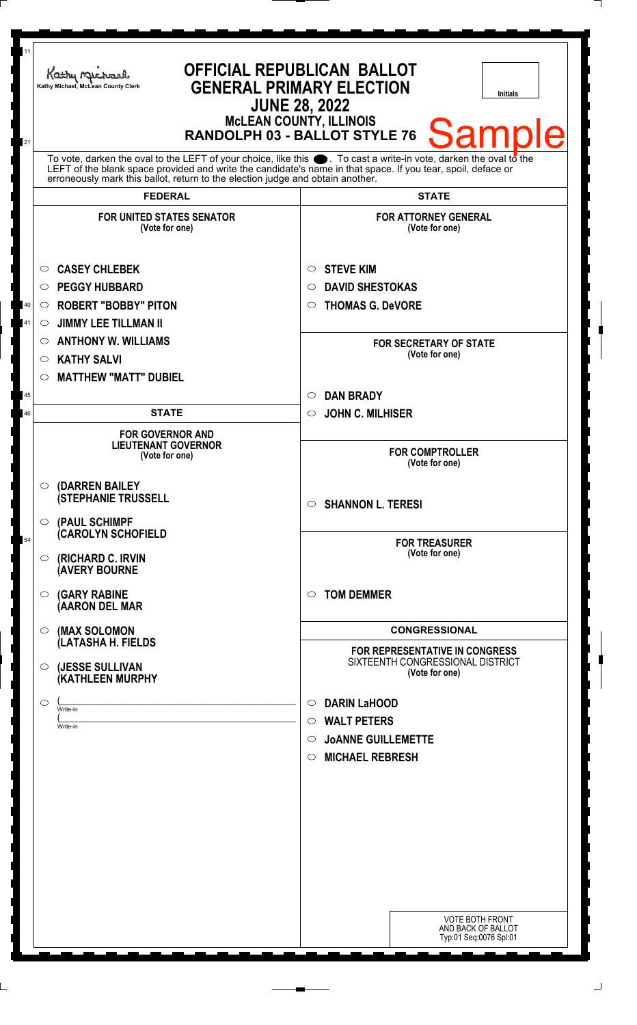| 11     | Kathy Michael<br>Kathy Michael, McLean County Clerk                                                                                                                                            | <b>OFFICIAL REPUBLICAN BALLOT</b><br><b>GENERAL PRIMARY ELECTION</b><br><b>Initials</b><br><b>JUNE 28, 2022</b><br><b>McLEAN COUNTY, ILLINOIS</b> |  |
|--------|------------------------------------------------------------------------------------------------------------------------------------------------------------------------------------------------|---------------------------------------------------------------------------------------------------------------------------------------------------|--|
| 21     | <b>Samp</b><br>RANDOLPH 03 - BALLOT STYLE 76<br>To vote, darken the oval to the LEFT of your choice, like this $\bullet$ . To cast a write-in vote, darken the oval to the                     |                                                                                                                                                   |  |
|        | LEFT of the blank space provided and write the candidate's name in that space. If you tear, spoil, deface or<br>erroneously mark this ballot, return to the election judge and obtain another. |                                                                                                                                                   |  |
|        | <b>FEDERAL</b>                                                                                                                                                                                 | <b>STATE</b>                                                                                                                                      |  |
|        | <b>FOR UNITED STATES SENATOR</b><br>(Vote for one)                                                                                                                                             | <b>FOR ATTORNEY GENERAL</b><br>(Vote for one)                                                                                                     |  |
|        | <b>CASEY CHLEBEK</b><br>$\circ$                                                                                                                                                                | <b>STEVE KIM</b><br>$\circ$                                                                                                                       |  |
|        | <b>PEGGY HUBBARD</b><br>$\circ$                                                                                                                                                                | <b>DAVID SHESTOKAS</b><br>○                                                                                                                       |  |
| $40\,$ | <b>ROBERT "BOBBY" PITON</b><br>$\circ$                                                                                                                                                         | <b>THOMAS G. DeVORE</b><br>O                                                                                                                      |  |
| 41     | <b>JIMMY LEE TILLMAN II</b><br>$\circ$                                                                                                                                                         |                                                                                                                                                   |  |
|        | <b>ANTHONY W. WILLIAMS</b><br>$\circ$                                                                                                                                                          | <b>FOR SECRETARY OF STATE</b>                                                                                                                     |  |
|        | <b>KATHY SALVI</b><br>$\circ$                                                                                                                                                                  | (Vote for one)                                                                                                                                    |  |
|        | <b>MATTHEW "MATT" DUBIEL</b><br>$\circ$                                                                                                                                                        |                                                                                                                                                   |  |
| 45     |                                                                                                                                                                                                | <b>DAN BRADY</b><br>$\circ$                                                                                                                       |  |
| 46     | <b>STATE</b>                                                                                                                                                                                   | <b>JOHN C. MILHISER</b><br>$\circ$                                                                                                                |  |
|        | <b>FOR GOVERNOR AND</b><br><b>LIEUTENANT GOVERNOR</b><br>(Vote for one)                                                                                                                        | <b>FOR COMPTROLLER</b><br>(Vote for one)                                                                                                          |  |
|        | (DARREN BAILEY<br>$\circ$<br><b>(STEPHANIE TRUSSELL</b><br>(PAUL SCHIMPF<br>$\circ$                                                                                                            | <b>SHANNON L. TERESI</b><br>$\circ$                                                                                                               |  |
| 54     | <b>CAROLYN SCHOFIELD</b><br>(RICHARD C. IRVIN<br>$\circ$<br><b>(AVERY BOURNE</b>                                                                                                               | <b>FOR TREASURER</b><br>(Vote for one)                                                                                                            |  |
|        | <b>(GARY RABINE</b><br>$\circ$<br>(AARON DEL MAR                                                                                                                                               | <b>TOM DEMMER</b><br>◯                                                                                                                            |  |
|        | (MAX SOLOMON<br>$\circ$                                                                                                                                                                        | <b>CONGRESSIONAL</b>                                                                                                                              |  |
|        | (LATASHA H. FIELDS<br>(JESSE SULLIVAN<br>$\circ$<br>(KATHLEEN MURPHY                                                                                                                           | FOR REPRESENTATIVE IN CONGRESS<br>SIXTEENTH CONGRESSIONAL DISTRICT<br>(Vote for one)                                                              |  |
|        | O<br>Write-in                                                                                                                                                                                  | <b>DARIN LaHOOD</b><br>$\circ$                                                                                                                    |  |
|        | Write-in                                                                                                                                                                                       | <b>WALT PETERS</b><br>$\circ$                                                                                                                     |  |
|        |                                                                                                                                                                                                | <b>JOANNE GUILLEMETTE</b><br>$\circ$                                                                                                              |  |
|        |                                                                                                                                                                                                | <b>MICHAEL REBRESH</b><br>$\circ$                                                                                                                 |  |
|        |                                                                                                                                                                                                |                                                                                                                                                   |  |
|        |                                                                                                                                                                                                |                                                                                                                                                   |  |
|        |                                                                                                                                                                                                |                                                                                                                                                   |  |
|        |                                                                                                                                                                                                |                                                                                                                                                   |  |
|        |                                                                                                                                                                                                |                                                                                                                                                   |  |
|        |                                                                                                                                                                                                |                                                                                                                                                   |  |
|        |                                                                                                                                                                                                |                                                                                                                                                   |  |
|        |                                                                                                                                                                                                | <b>VOTE BOTH FRONT</b><br>AND BACK OF BALLOT<br>Typ:01 Seq:0076 Spl:01                                                                            |  |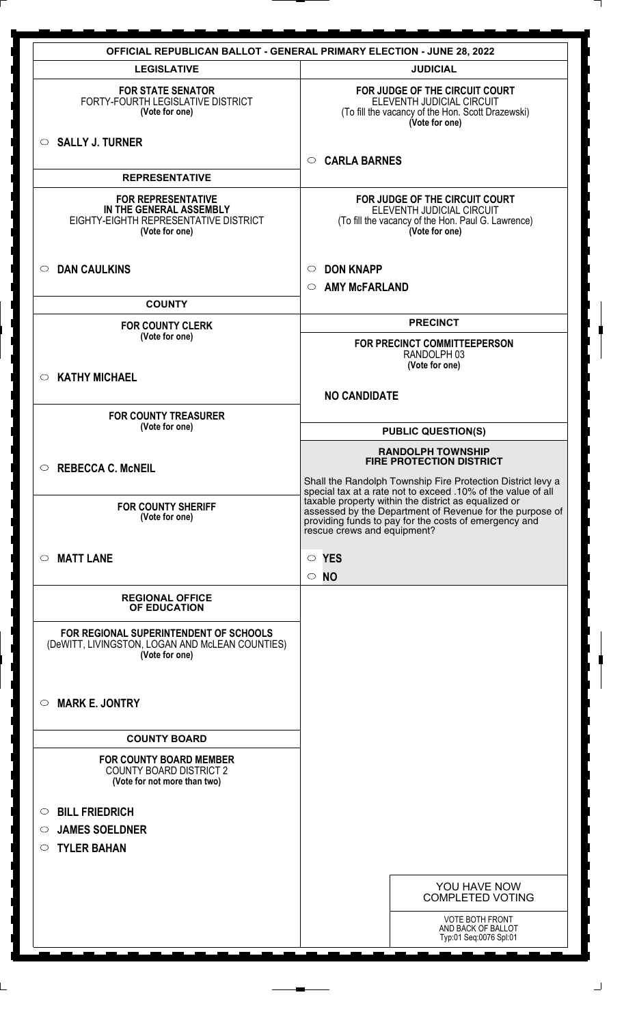| <b>OFFICIAL REPUBLICAN BALLOT - GENERAL PRIMARY ELECTION - JUNE 28, 2022</b>                                    |                                                                                                                                                                                                          |  |  |
|-----------------------------------------------------------------------------------------------------------------|----------------------------------------------------------------------------------------------------------------------------------------------------------------------------------------------------------|--|--|
| <b>LEGISLATIVE</b>                                                                                              | <b>JUDICIAL</b>                                                                                                                                                                                          |  |  |
| <b>FOR STATE SENATOR</b><br>FORTY-FOURTH LEGISLATIVE DISTRICT<br>(Vote for one)                                 | FOR JUDGE OF THE CIRCUIT COURT<br>ELEVENTH JUDICIAL CIRCUIT<br>(To fill the vacancy of the Hon. Scott Drazewski)<br>(Vote for one)                                                                       |  |  |
| $\circ$ SALLY J. TURNER                                                                                         | <b>CARLA BARNES</b><br>$\circ$                                                                                                                                                                           |  |  |
| <b>REPRESENTATIVE</b>                                                                                           |                                                                                                                                                                                                          |  |  |
| <b>FOR REPRESENTATIVE</b><br>IN THE GENERAL ASSEMBLY<br>EIGHTY-EIGHTH REPRESENTATIVE DISTRICT<br>(Vote for one) | FOR JUDGE OF THE CIRCUIT COURT<br>ELEVENTH JUDICIAL CIRCUIT<br>(To fill the vacancy of the Hon. Paul G. Lawrence)<br>(Vote for one)                                                                      |  |  |
| <b>DAN CAULKINS</b><br>$\circ$                                                                                  | <b>DON KNAPP</b><br>$\circ$                                                                                                                                                                              |  |  |
|                                                                                                                 | <b>AMY McFARLAND</b><br>$\circ$                                                                                                                                                                          |  |  |
| <b>COUNTY</b>                                                                                                   |                                                                                                                                                                                                          |  |  |
| <b>FOR COUNTY CLERK</b><br>(Vote for one)                                                                       | <b>PRECINCT</b>                                                                                                                                                                                          |  |  |
|                                                                                                                 | FOR PRECINCT COMMITTEEPERSON<br>RANDOLPH 03<br>(Vote for one)                                                                                                                                            |  |  |
| <b>KATHY MICHAEL</b><br>$\circ$                                                                                 |                                                                                                                                                                                                          |  |  |
|                                                                                                                 | <b>NO CANDIDATE</b>                                                                                                                                                                                      |  |  |
| <b>FOR COUNTY TREASURER</b><br>(Vote for one)                                                                   | <b>PUBLIC QUESTION(S)</b>                                                                                                                                                                                |  |  |
| <b>REBECCA C. McNEIL</b><br>$\circ$                                                                             | <b>RANDOLPH TOWNSHIP</b><br><b>FIRE PROTECTION DISTRICT</b>                                                                                                                                              |  |  |
|                                                                                                                 | Shall the Randolph Township Fire Protection District levy a<br>special tax at a rate not to exceed .10% of the value of all                                                                              |  |  |
| <b>FOR COUNTY SHERIFF</b><br>(Vote for one)                                                                     | taxable property within the district as equalized or<br>assessed by the Department of Revenue for the purpose of<br>providing funds to pay for the costs of emergency and<br>rescue crews and equipment? |  |  |
| <b>MATT LANE</b><br>$\circ$                                                                                     | $\circ$ YES<br>$\circ$ NO                                                                                                                                                                                |  |  |
| <b>REGIONAL OFFICE</b><br>OF EDUCATION                                                                          |                                                                                                                                                                                                          |  |  |
| FOR REGIONAL SUPERINTENDENT OF SCHOOLS<br>(DeWITT, LIVINGSTON, LOGAN AND McLEAN COUNTIES)<br>(Vote for one)     |                                                                                                                                                                                                          |  |  |
| <b>MARK E. JONTRY</b><br>$\circ$                                                                                |                                                                                                                                                                                                          |  |  |
| <b>COUNTY BOARD</b>                                                                                             |                                                                                                                                                                                                          |  |  |
| <b>FOR COUNTY BOARD MEMBER</b><br><b>COUNTY BOARD DISTRICT 2</b><br>(Vote for not more than two)                |                                                                                                                                                                                                          |  |  |
|                                                                                                                 |                                                                                                                                                                                                          |  |  |
| <b>BILL FRIEDRICH</b><br>$\circ$                                                                                |                                                                                                                                                                                                          |  |  |
| <b>JAMES SOELDNER</b><br>$\circ$<br><b>TYLER BAHAN</b><br>$\circ$                                               |                                                                                                                                                                                                          |  |  |
|                                                                                                                 |                                                                                                                                                                                                          |  |  |
|                                                                                                                 | YOU HAVE NOW<br><b>COMPLETED VOTING</b>                                                                                                                                                                  |  |  |
|                                                                                                                 | <b>VOTE BOTH FRONT</b><br>AND BACK OF BALLOT                                                                                                                                                             |  |  |
|                                                                                                                 | Typ:01 Seq:0076 Spl:01                                                                                                                                                                                   |  |  |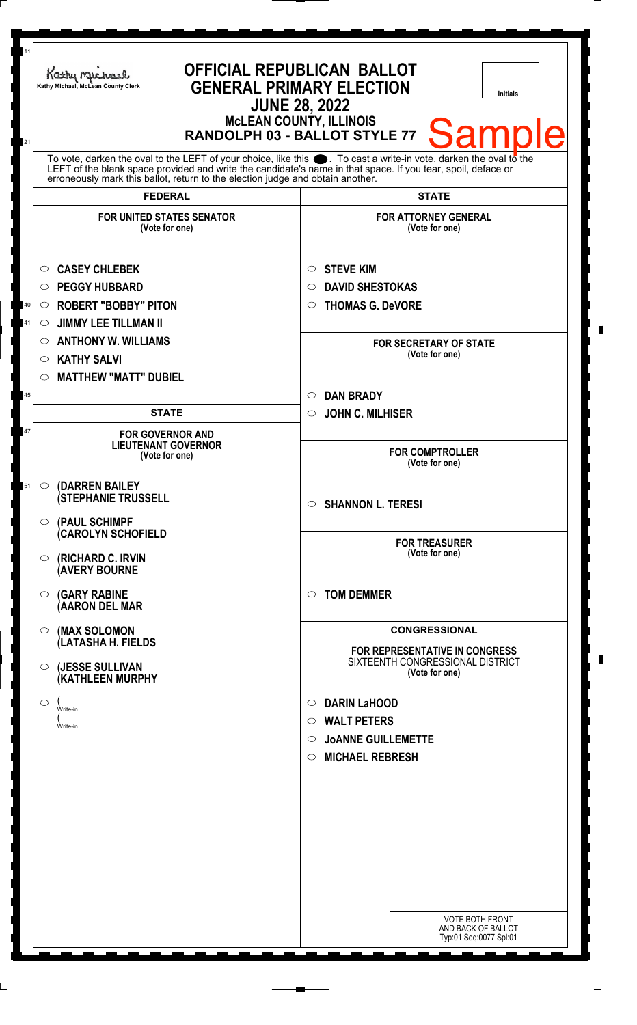| 11       | Kathy Michael<br>Kathy Michael, McLean County Clerk                                                                                                                                                                                                                                                                       | <b>OFFICIAL REPUBLICAN BALLOT</b><br><b>GENERAL PRIMARY ELECTION</b><br><b>Initials</b><br><b>JUNE 28, 2022</b><br><b>McLEAN COUNTY, ILLINOIS</b><br><b>Sample</b><br>RANDOLPH 03 - BALLOT STYLE 77 |
|----------|---------------------------------------------------------------------------------------------------------------------------------------------------------------------------------------------------------------------------------------------------------------------------------------------------------------------------|-----------------------------------------------------------------------------------------------------------------------------------------------------------------------------------------------------|
| 21       | To vote, darken the oval to the LEFT of your choice, like this $\bullet$ . To cast a write-in vote, darken the oval to the<br>LEFT of the blank space provided and write the candidate's name in that space. If you tear, spoil, deface or erroneously mark this ballot, return to the election judge and obtain another. |                                                                                                                                                                                                     |
|          | <b>FEDERAL</b>                                                                                                                                                                                                                                                                                                            | <b>STATE</b>                                                                                                                                                                                        |
|          | <b>FOR UNITED STATES SENATOR</b><br>(Vote for one)                                                                                                                                                                                                                                                                        | <b>FOR ATTORNEY GENERAL</b><br>(Vote for one)                                                                                                                                                       |
| 40<br>41 | <b>CASEY CHLEBEK</b><br>$\circ$<br><b>PEGGY HUBBARD</b><br>$\circ$<br><b>ROBERT "BOBBY" PITON</b><br>$\circ$<br><b>JIMMY LEE TILLMAN II</b><br>$\circ$                                                                                                                                                                    | <b>STEVE KIM</b><br>O<br><b>DAVID SHESTOKAS</b><br>◯<br><b>THOMAS G. DeVORE</b><br>O                                                                                                                |
|          | <b>ANTHONY W. WILLIAMS</b><br>$\circ$<br><b>KATHY SALVI</b><br>$\circ$<br><b>MATTHEW "MATT" DUBIEL</b><br>O                                                                                                                                                                                                               | <b>FOR SECRETARY OF STATE</b><br>(Vote for one)                                                                                                                                                     |
| 45       |                                                                                                                                                                                                                                                                                                                           | <b>DAN BRADY</b><br>$\circ$                                                                                                                                                                         |
|          | <b>STATE</b>                                                                                                                                                                                                                                                                                                              | <b>JOHN C. MILHISER</b><br>$\circ$                                                                                                                                                                  |
| 47       | <b>FOR GOVERNOR AND</b><br><b>LIEUTENANT GOVERNOR</b><br>(Vote for one)                                                                                                                                                                                                                                                   | <b>FOR COMPTROLLER</b><br>(Vote for one)                                                                                                                                                            |
| 51       | (DARREN BAILEY<br>$\circ$<br><b>(STEPHANIE TRUSSELL</b><br>$\circ$ (PAUL SCHIMPF                                                                                                                                                                                                                                          | <b>SHANNON L. TERESI</b><br>$\circ$                                                                                                                                                                 |
|          | <b>CAROLYN SCHOFIELD</b><br><b>(RICHARD C. IRVIN</b><br>$\circ$<br><b>AVERY BOURNE</b>                                                                                                                                                                                                                                    | <b>FOR TREASURER</b><br>(Vote for one)                                                                                                                                                              |
|          | <b>(GARY RABINE</b><br>$\circ$<br>(AARON DEL MAR                                                                                                                                                                                                                                                                          | <b>TOM DEMMER</b><br>◯                                                                                                                                                                              |
|          | (MAX SOLOMON<br>$\circ$                                                                                                                                                                                                                                                                                                   | <b>CONGRESSIONAL</b>                                                                                                                                                                                |
|          | (LATASHA H. FIELDS<br>(JESSE SULLIVAN<br>$\circ$<br>(KATHLEEN MURPHY                                                                                                                                                                                                                                                      | <b>FOR REPRESENTATIVE IN CONGRESS</b><br>SIXTEENTH CONGRESSIONAL DISTRICT<br>(Vote for one)                                                                                                         |
|          | $\circ$<br>Write-in<br>Write-in                                                                                                                                                                                                                                                                                           | <b>DARIN LaHOOD</b><br>$\circ$<br><b>WALT PETERS</b><br>$\circ$<br><b>JOANNE GUILLEMETTE</b><br>$\circ$<br><b>MICHAEL REBRESH</b><br>$\circ$                                                        |
|          |                                                                                                                                                                                                                                                                                                                           | <b>VOTE BOTH FRONT</b>                                                                                                                                                                              |
|          |                                                                                                                                                                                                                                                                                                                           | AND BACK OF BALLOT<br>Typ:01 Seq:0077 Spl:01                                                                                                                                                        |